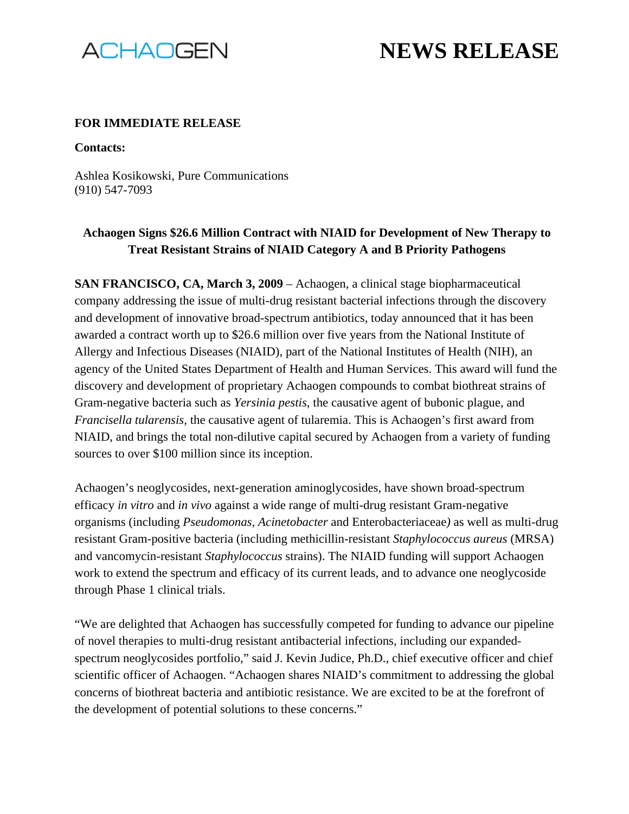

# **NEWS RELEASE**

#### **FOR IMMEDIATE RELEASE**

**Contacts:**

Ashlea Kosikowski, Pure Communications (910) 547-7093

## **Achaogen Signs \$26.6 Million Contract with NIAID for Development of New Therapy to Treat Resistant Strains of NIAID Category A and B Priority Pathogens**

**SAN FRANCISCO, CA, March 3, 2009** – Achaogen, a clinical stage biopharmaceutical company addressing the issue of multi-drug resistant bacterial infections through the discovery and development of innovative broad-spectrum antibiotics, today announced that it has been awarded a contract worth up to \$26.6 million over five years from the National Institute of Allergy and Infectious Diseases (NIAID), part of the National Institutes of Health (NIH), an agency of the United States Department of Health and Human Services. This award will fund the discovery and development of proprietary Achaogen compounds to combat biothreat strains of Gram-negative bacteria such as *Yersinia pestis*, the causative agent of bubonic plague, and *Francisella tularensis,* the causative agent of tularemia. This is Achaogen's first award from NIAID, and brings the total non-dilutive capital secured by Achaogen from a variety of funding sources to over \$100 million since its inception.

Achaogen's neoglycosides, next-generation aminoglycosides, have shown broad-spectrum efficacy *in vitro* and *in vivo* against a wide range of multi-drug resistant Gram-negative organisms (including *Pseudomonas, Acinetobacter* and Enterobacteriaceae*)* as well as multi-drug resistant Gram-positive bacteria (including methicillin-resistant *Staphylococcus aureus* (MRSA) and vancomycin-resistant *Staphylococcus* strains). The NIAID funding will support Achaogen work to extend the spectrum and efficacy of its current leads, and to advance one neoglycoside through Phase 1 clinical trials.

"We are delighted that Achaogen has successfully competed for funding to advance our pipeline of novel therapies to multi-drug resistant antibacterial infections, including our expandedspectrum neoglycosides portfolio," said J. Kevin Judice, Ph.D., chief executive officer and chief scientific officer of Achaogen. "Achaogen shares NIAID's commitment to addressing the global concerns of biothreat bacteria and antibiotic resistance. We are excited to be at the forefront of the development of potential solutions to these concerns."